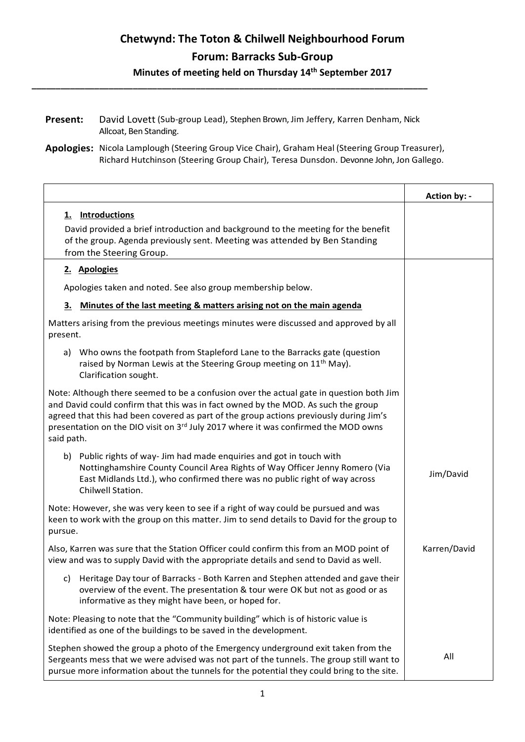| Present: | David Lovett (Sub-group Lead), Stephen Brown, Jim Jeffery, Karren Denham, Nick |
|----------|--------------------------------------------------------------------------------|
|          | Allcoat, Ben Standing.                                                         |

**\_\_\_\_\_\_\_\_\_\_\_\_\_\_\_\_\_\_\_\_\_\_\_\_\_\_\_\_\_\_\_\_\_\_\_\_\_\_\_\_\_\_\_\_\_\_\_\_\_\_\_\_\_\_\_\_\_\_\_\_\_\_\_\_\_\_\_\_\_\_\_\_\_\_\_\_\_\_\_\_\_\_**

**Apologies:** Nicola Lamplough (Steering Group Vice Chair), Graham Heal (Steering Group Treasurer), Richard Hutchinson (Steering Group Chair), Teresa Dunsdon. Devonne John, Jon Gallego.

|                                                                                                                                                                                                                                                                                                                                                                                        | Action by: - |
|----------------------------------------------------------------------------------------------------------------------------------------------------------------------------------------------------------------------------------------------------------------------------------------------------------------------------------------------------------------------------------------|--------------|
| 1. Introductions<br>David provided a brief introduction and background to the meeting for the benefit<br>of the group. Agenda previously sent. Meeting was attended by Ben Standing<br>from the Steering Group.                                                                                                                                                                        |              |
| 2. Apologies                                                                                                                                                                                                                                                                                                                                                                           |              |
| Apologies taken and noted. See also group membership below.                                                                                                                                                                                                                                                                                                                            |              |
| Minutes of the last meeting & matters arising not on the main agenda<br>3.                                                                                                                                                                                                                                                                                                             |              |
| Matters arising from the previous meetings minutes were discussed and approved by all<br>present.                                                                                                                                                                                                                                                                                      |              |
| a) Who owns the footpath from Stapleford Lane to the Barracks gate (question<br>raised by Norman Lewis at the Steering Group meeting on 11 <sup>th</sup> May).<br>Clarification sought.                                                                                                                                                                                                |              |
| Note: Although there seemed to be a confusion over the actual gate in question both Jim<br>and David could confirm that this was in fact owned by the MOD. As such the group<br>agreed that this had been covered as part of the group actions previously during Jim's<br>presentation on the DIO visit on 3 <sup>rd</sup> July 2017 where it was confirmed the MOD owns<br>said path. |              |
| b) Public rights of way- Jim had made enquiries and got in touch with<br>Nottinghamshire County Council Area Rights of Way Officer Jenny Romero (Via<br>East Midlands Ltd.), who confirmed there was no public right of way across<br>Chilwell Station.                                                                                                                                | Jim/David    |
| Note: However, she was very keen to see if a right of way could be pursued and was<br>keen to work with the group on this matter. Jim to send details to David for the group to<br>pursue.                                                                                                                                                                                             |              |
| Also, Karren was sure that the Station Officer could confirm this from an MOD point of<br>view and was to supply David with the appropriate details and send to David as well.                                                                                                                                                                                                         | Karren/David |
| c) Heritage Day tour of Barracks - Both Karren and Stephen attended and gave their<br>overview of the event. The presentation & tour were OK but not as good or as<br>informative as they might have been, or hoped for.                                                                                                                                                               |              |
| Note: Pleasing to note that the "Community building" which is of historic value is<br>identified as one of the buildings to be saved in the development.                                                                                                                                                                                                                               |              |
| Stephen showed the group a photo of the Emergency underground exit taken from the<br>Sergeants mess that we were advised was not part of the tunnels. The group still want to<br>pursue more information about the tunnels for the potential they could bring to the site.                                                                                                             | All          |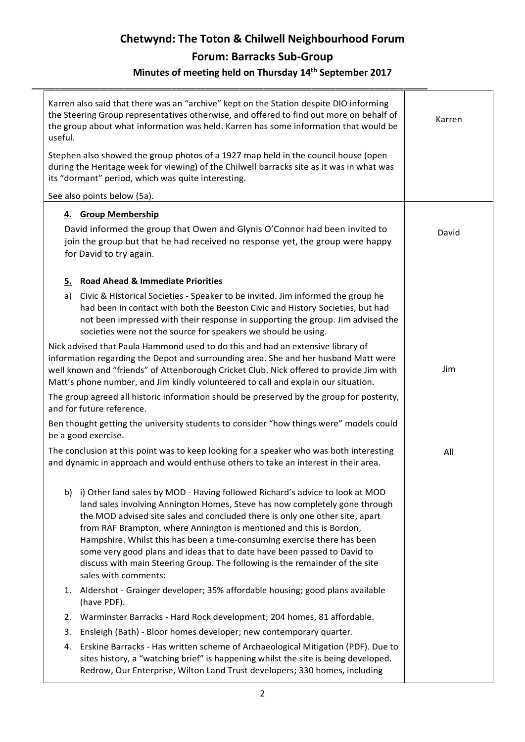| useful. | Karren also said that there was an "archive" kept on the Station despite DIO informing<br>the Steering Group representatives otherwise, and offered to find out more on behalf of<br>the group about what information was held. Karren has some information that would be                                                                                                                                                                                                                                                                                                             | Karren |
|---------|---------------------------------------------------------------------------------------------------------------------------------------------------------------------------------------------------------------------------------------------------------------------------------------------------------------------------------------------------------------------------------------------------------------------------------------------------------------------------------------------------------------------------------------------------------------------------------------|--------|
|         | Stephen also showed the group photos of a 1927 map held in the council house (open<br>during the Heritage week for viewing) of the Chilwell barracks site as it was in what was<br>its "dormant" period, which was quite interesting.                                                                                                                                                                                                                                                                                                                                                 |        |
|         | See also points below (5a).                                                                                                                                                                                                                                                                                                                                                                                                                                                                                                                                                           |        |
|         | 4. Group Membership                                                                                                                                                                                                                                                                                                                                                                                                                                                                                                                                                                   |        |
|         | David informed the group that Owen and Glynis O'Connor had been invited to<br>join the group but that he had received no response yet, the group were happy<br>for David to try again.                                                                                                                                                                                                                                                                                                                                                                                                | David  |
| 5.      | <b>Road Ahead &amp; Immediate Priorities</b>                                                                                                                                                                                                                                                                                                                                                                                                                                                                                                                                          |        |
| a)      | Civic & Historical Societies - Speaker to be invited. Jim informed the group he<br>had been in contact with both the Beeston Civic and History Societies, but had<br>not been impressed with their response in supporting the group. Jim advised the<br>societies were not the source for speakers we should be using.                                                                                                                                                                                                                                                                |        |
|         | Nick advised that Paula Hammond used to do this and had an extensive library of<br>information regarding the Depot and surrounding area. She and her husband Matt were<br>well known and "friends" of Attenborough Cricket Club. Nick offered to provide Jim with<br>Matt's phone number, and Jim kindly volunteered to call and explain our situation.                                                                                                                                                                                                                               | Jim    |
|         | The group agreed all historic information should be preserved by the group for posterity,<br>and for future reference.                                                                                                                                                                                                                                                                                                                                                                                                                                                                |        |
|         | Ben thought getting the university students to consider "how things were" models could<br>be a good exercise.                                                                                                                                                                                                                                                                                                                                                                                                                                                                         |        |
|         | The conclusion at this point was to keep looking for a speaker who was both interesting<br>and dynamic in approach and would enthuse others to take an interest in their area.                                                                                                                                                                                                                                                                                                                                                                                                        | All    |
|         | b) i) Other land sales by MOD - Having followed Richard's advice to look at MOD<br>land sales involving Annington Homes, Steve has now completely gone through<br>the MOD advised site sales and concluded there is only one other site, apart<br>from RAF Brampton, where Annington is mentioned and this is Bordon,<br>Hampshire. Whilst this has been a time-consuming exercise there has been<br>some very good plans and ideas that to date have been passed to David to<br>discuss with main Steering Group. The following is the remainder of the site<br>sales with comments: |        |
|         | 1. Aldershot - Grainger developer; 35% affordable housing; good plans available<br>(have PDF).                                                                                                                                                                                                                                                                                                                                                                                                                                                                                        |        |
| 2.      | Warminster Barracks - Hard Rock development; 204 homes, 81 affordable.                                                                                                                                                                                                                                                                                                                                                                                                                                                                                                                |        |
| 3.      | Ensleigh (Bath) - Bloor homes developer; new contemporary quarter.                                                                                                                                                                                                                                                                                                                                                                                                                                                                                                                    |        |
| 4.      | Erskine Barracks - Has written scheme of Archaeological Mitigation (PDF). Due to<br>sites history, a "watching brief" is happening whilst the site is being developed.                                                                                                                                                                                                                                                                                                                                                                                                                |        |

Redrow, Our Enterprise, Wilton Land Trust developers; 330 homes, including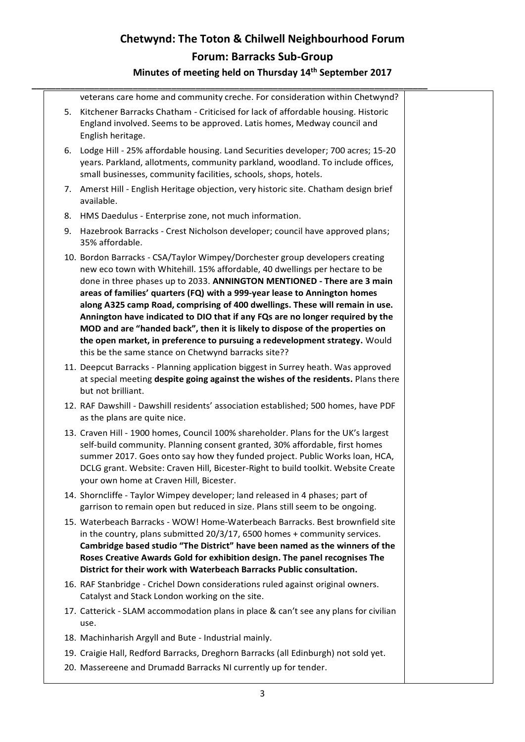|  | veterans care home and community creche. For consideration within Chetwynd?                                                                                                                                                                                                                                                                                                                                                                                                                                                                                                                                                                                                                               |  |
|--|-----------------------------------------------------------------------------------------------------------------------------------------------------------------------------------------------------------------------------------------------------------------------------------------------------------------------------------------------------------------------------------------------------------------------------------------------------------------------------------------------------------------------------------------------------------------------------------------------------------------------------------------------------------------------------------------------------------|--|
|  | 5. Kitchener Barracks Chatham - Criticised for lack of affordable housing. Historic<br>England involved. Seems to be approved. Latis homes, Medway council and<br>English heritage.                                                                                                                                                                                                                                                                                                                                                                                                                                                                                                                       |  |
|  | 6. Lodge Hill - 25% affordable housing. Land Securities developer; 700 acres; 15-20<br>years. Parkland, allotments, community parkland, woodland. To include offices,<br>small businesses, community facilities, schools, shops, hotels.                                                                                                                                                                                                                                                                                                                                                                                                                                                                  |  |
|  | 7. Amerst Hill - English Heritage objection, very historic site. Chatham design brief<br>available.                                                                                                                                                                                                                                                                                                                                                                                                                                                                                                                                                                                                       |  |
|  | 8. HMS Daedulus - Enterprise zone, not much information.                                                                                                                                                                                                                                                                                                                                                                                                                                                                                                                                                                                                                                                  |  |
|  | 9. Hazebrook Barracks - Crest Nicholson developer; council have approved plans;<br>35% affordable.                                                                                                                                                                                                                                                                                                                                                                                                                                                                                                                                                                                                        |  |
|  | 10. Bordon Barracks - CSA/Taylor Wimpey/Dorchester group developers creating<br>new eco town with Whitehill. 15% affordable, 40 dwellings per hectare to be<br>done in three phases up to 2033. ANNINGTON MENTIONED - There are 3 main<br>areas of families' quarters (FQ) with a 999-year lease to Annington homes<br>along A325 camp Road, comprising of 400 dwellings. These will remain in use.<br>Annington have indicated to DIO that if any FQs are no longer required by the<br>MOD and are "handed back", then it is likely to dispose of the properties on<br>the open market, in preference to pursuing a redevelopment strategy. Would<br>this be the same stance on Chetwynd barracks site?? |  |
|  | 11. Deepcut Barracks - Planning application biggest in Surrey heath. Was approved<br>at special meeting despite going against the wishes of the residents. Plans there<br>but not brilliant.                                                                                                                                                                                                                                                                                                                                                                                                                                                                                                              |  |
|  | 12. RAF Dawshill - Dawshill residents' association established; 500 homes, have PDF<br>as the plans are quite nice.                                                                                                                                                                                                                                                                                                                                                                                                                                                                                                                                                                                       |  |
|  | 13. Craven Hill - 1900 homes, Council 100% shareholder. Plans for the UK's largest<br>self-build community. Planning consent granted, 30% affordable, first homes<br>summer 2017. Goes onto say how they funded project. Public Works loan, HCA,<br>DCLG grant. Website: Craven Hill, Bicester-Right to build toolkit. Website Create<br>your own home at Craven Hill, Bicester.                                                                                                                                                                                                                                                                                                                          |  |
|  | 14. Shorncliffe - Taylor Wimpey developer; land released in 4 phases; part of<br>garrison to remain open but reduced in size. Plans still seem to be ongoing.                                                                                                                                                                                                                                                                                                                                                                                                                                                                                                                                             |  |
|  | 15. Waterbeach Barracks - WOW! Home-Waterbeach Barracks. Best brownfield site<br>in the country, plans submitted 20/3/17, 6500 homes + community services.<br>Cambridge based studio "The District" have been named as the winners of the<br>Roses Creative Awards Gold for exhibition design. The panel recognises The<br>District for their work with Waterbeach Barracks Public consultation.                                                                                                                                                                                                                                                                                                          |  |
|  | 16. RAF Stanbridge - Crichel Down considerations ruled against original owners.<br>Catalyst and Stack London working on the site.                                                                                                                                                                                                                                                                                                                                                                                                                                                                                                                                                                         |  |
|  | 17. Catterick - SLAM accommodation plans in place & can't see any plans for civilian<br>use.                                                                                                                                                                                                                                                                                                                                                                                                                                                                                                                                                                                                              |  |
|  | 18. Machinharish Argyll and Bute - Industrial mainly.                                                                                                                                                                                                                                                                                                                                                                                                                                                                                                                                                                                                                                                     |  |
|  | 19. Craigie Hall, Redford Barracks, Dreghorn Barracks (all Edinburgh) not sold yet.                                                                                                                                                                                                                                                                                                                                                                                                                                                                                                                                                                                                                       |  |
|  | 20. Massereene and Drumadd Barracks NI currently up for tender.                                                                                                                                                                                                                                                                                                                                                                                                                                                                                                                                                                                                                                           |  |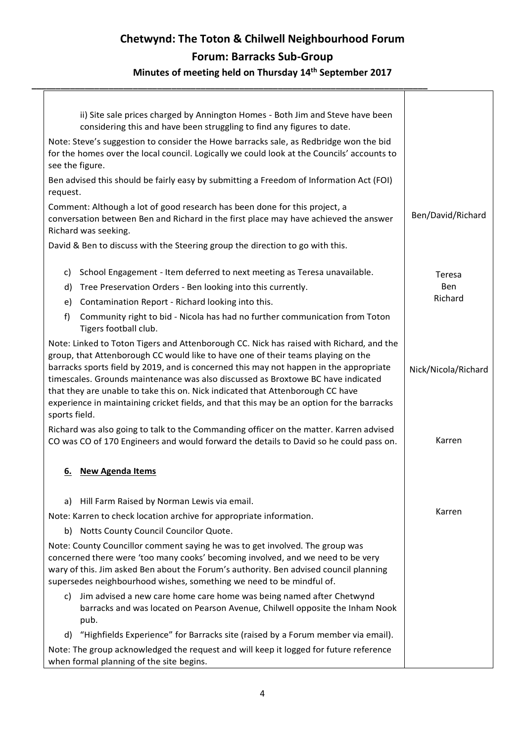**\_\_\_\_\_\_\_\_\_\_\_\_\_\_\_\_\_\_\_\_\_\_\_\_\_\_\_\_\_\_\_\_\_\_\_\_\_\_\_\_\_\_\_\_\_\_\_\_\_\_\_\_\_\_\_\_\_\_\_\_\_\_\_\_\_\_\_\_\_\_\_\_\_\_\_\_\_\_\_\_\_\_**

| Note: Steve's suggestion to consider the Howe barracks sale, as Redbridge won the bid<br>for the homes over the local council. Logically we could look at the Councils' accounts to<br>see the figure.                                                                                                                                                                                                                                                                                                                                                    |                                                                                                                                                              |                     |
|-----------------------------------------------------------------------------------------------------------------------------------------------------------------------------------------------------------------------------------------------------------------------------------------------------------------------------------------------------------------------------------------------------------------------------------------------------------------------------------------------------------------------------------------------------------|--------------------------------------------------------------------------------------------------------------------------------------------------------------|---------------------|
| Ben advised this should be fairly easy by submitting a Freedom of Information Act (FOI)<br>request.                                                                                                                                                                                                                                                                                                                                                                                                                                                       |                                                                                                                                                              |                     |
| Comment: Although a lot of good research has been done for this project, a<br>conversation between Ben and Richard in the first place may have achieved the answer<br>Richard was seeking.                                                                                                                                                                                                                                                                                                                                                                | Ben/David/Richard                                                                                                                                            |                     |
|                                                                                                                                                                                                                                                                                                                                                                                                                                                                                                                                                           | David & Ben to discuss with the Steering group the direction to go with this.                                                                                |                     |
| C)                                                                                                                                                                                                                                                                                                                                                                                                                                                                                                                                                        | School Engagement - Item deferred to next meeting as Teresa unavailable.                                                                                     | Teresa              |
|                                                                                                                                                                                                                                                                                                                                                                                                                                                                                                                                                           | d) Tree Preservation Orders - Ben looking into this currently.                                                                                               | Ben                 |
| e)                                                                                                                                                                                                                                                                                                                                                                                                                                                                                                                                                        | Contamination Report - Richard looking into this.                                                                                                            | Richard             |
| f)                                                                                                                                                                                                                                                                                                                                                                                                                                                                                                                                                        | Community right to bid - Nicola has had no further communication from Toton<br>Tigers football club.                                                         |                     |
| Note: Linked to Toton Tigers and Attenborough CC. Nick has raised with Richard, and the<br>group, that Attenborough CC would like to have one of their teams playing on the<br>barracks sports field by 2019, and is concerned this may not happen in the appropriate<br>timescales. Grounds maintenance was also discussed as Broxtowe BC have indicated<br>that they are unable to take this on. Nick indicated that Attenborough CC have<br>experience in maintaining cricket fields, and that this may be an option for the barracks<br>sports field. |                                                                                                                                                              | Nick/Nicola/Richard |
| Richard was also going to talk to the Commanding officer on the matter. Karren advised<br>CO was CO of 170 Engineers and would forward the details to David so he could pass on.                                                                                                                                                                                                                                                                                                                                                                          |                                                                                                                                                              | Karren              |
| 6.                                                                                                                                                                                                                                                                                                                                                                                                                                                                                                                                                        | <b>New Agenda Items</b>                                                                                                                                      |                     |
| a)                                                                                                                                                                                                                                                                                                                                                                                                                                                                                                                                                        | Hill Farm Raised by Norman Lewis via email.                                                                                                                  |                     |
|                                                                                                                                                                                                                                                                                                                                                                                                                                                                                                                                                           | Note: Karren to check location archive for appropriate information.                                                                                          | Karren              |
|                                                                                                                                                                                                                                                                                                                                                                                                                                                                                                                                                           | b) Notts County Council Councilor Quote.                                                                                                                     |                     |
| Note: County Councillor comment saying he was to get involved. The group was<br>concerned there were 'too many cooks' becoming involved, and we need to be very<br>wary of this. Jim asked Ben about the Forum's authority. Ben advised council planning<br>supersedes neighbourhood wishes, something we need to be mindful of.                                                                                                                                                                                                                          |                                                                                                                                                              |                     |
| c)                                                                                                                                                                                                                                                                                                                                                                                                                                                                                                                                                        | Jim advised a new care home care home was being named after Chetwynd<br>barracks and was located on Pearson Avenue, Chilwell opposite the Inham Nook<br>pub. |                     |
|                                                                                                                                                                                                                                                                                                                                                                                                                                                                                                                                                           | d) "Highfields Experience" for Barracks site (raised by a Forum member via email).                                                                           |                     |
| Note: The group acknowledged the request and will keep it logged for future reference<br>when formal planning of the site begins.                                                                                                                                                                                                                                                                                                                                                                                                                         |                                                                                                                                                              |                     |